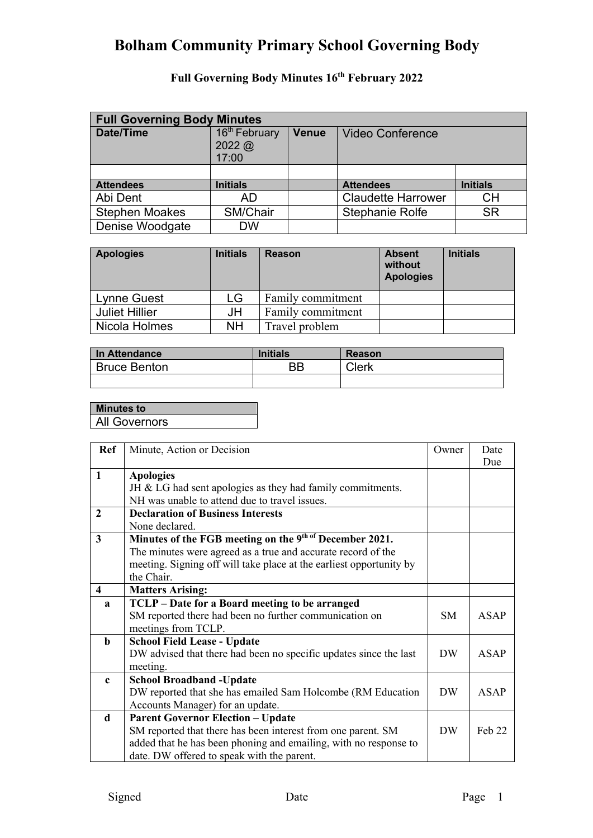| <b>Full Governing Body Minutes</b> |                                                     |              |                           |                 |  |  |
|------------------------------------|-----------------------------------------------------|--------------|---------------------------|-----------------|--|--|
| <b>Date/Time</b>                   | 16 <sup>th</sup> February<br>$2022 \omega$<br>17:00 | <b>Venue</b> | <b>Video Conference</b>   |                 |  |  |
|                                    |                                                     |              |                           |                 |  |  |
| <b>Attendees</b>                   | <b>Initials</b>                                     |              | <b>Attendees</b>          | <b>Initials</b> |  |  |
| Abi Dent                           | AD                                                  |              | <b>Claudette Harrower</b> | <b>CH</b>       |  |  |
| <b>Stephen Moakes</b>              | SM/Chair                                            |              | Stephanie Rolfe           | <b>SR</b>       |  |  |
| Denise Woodgate                    | <b>DW</b>                                           |              |                           |                 |  |  |

| <b>Apologies</b>      | <b>Initials</b> | <b>Reason</b>     | <b>Absent</b><br>without<br><b>Apologies</b> | <b>Initials</b> |
|-----------------------|-----------------|-------------------|----------------------------------------------|-----------------|
| Lynne Guest           | LG              | Family commitment |                                              |                 |
| <b>Juliet Hillier</b> | JH              | Family commitment |                                              |                 |
| Nicola Holmes         | <b>NH</b>       | Travel problem    |                                              |                 |

| In Attendance       | <b>Initials</b> | <b>Reason</b> |
|---------------------|-----------------|---------------|
| <b>Bruce Benton</b> | ΒB              | <b>Clerk</b>  |
|                     |                 |               |

| <b>Minutes to</b>    |  |
|----------------------|--|
| <b>All Governors</b> |  |
|                      |  |

| <b>Ref</b>   | Minute, Action or Decision                                          | Owner          | Date        |
|--------------|---------------------------------------------------------------------|----------------|-------------|
|              |                                                                     |                | Due         |
| $\mathbf{1}$ | <b>Apologies</b>                                                    |                |             |
|              | JH & LG had sent apologies as they had family commitments.          |                |             |
|              | NH was unable to attend due to travel issues.                       |                |             |
| $\mathbf{2}$ | <b>Declaration of Business Interests</b>                            |                |             |
|              | None declared.                                                      |                |             |
| 3            | Minutes of the FGB meeting on the 9th of December 2021.             |                |             |
|              | The minutes were agreed as a true and accurate record of the        |                |             |
|              | meeting. Signing off will take place at the earliest opportunity by |                |             |
|              | the Chair.                                                          |                |             |
| 4            | <b>Matters Arising:</b>                                             |                |             |
| $\mathbf{a}$ | TCLP - Date for a Board meeting to be arranged                      |                |             |
|              | SM reported there had been no further communication on              | <b>SM</b>      | <b>ASAP</b> |
|              | meetings from TCLP.                                                 |                |             |
| b            | <b>School Field Lease - Update</b>                                  |                |             |
|              | DW advised that there had been no specific updates since the last   | DW <sub></sub> | ASAP        |
|              | meeting.                                                            |                |             |
| $\mathbf c$  | <b>School Broadband - Update</b>                                    |                |             |
|              | DW reported that she has emailed Sam Holcombe (RM Education         | DW <sub></sub> | <b>ASAP</b> |
|              | Accounts Manager) for an update.                                    |                |             |
| d            | <b>Parent Governor Election - Update</b>                            |                |             |
|              | SM reported that there has been interest from one parent. SM        | DW <sub></sub> | Feh 22      |
|              | added that he has been phoning and emailing, with no response to    |                |             |
|              | date. DW offered to speak with the parent.                          |                |             |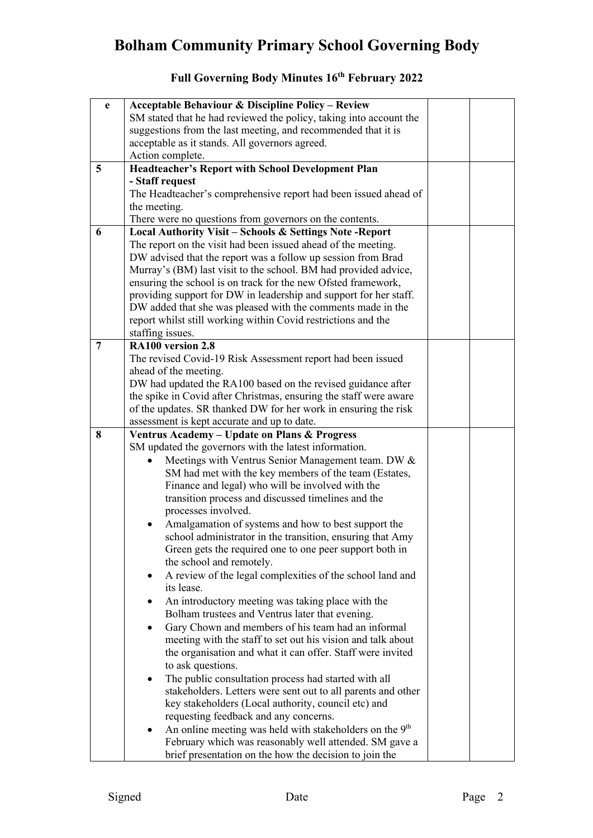| e              | <b>Acceptable Behaviour &amp; Discipline Policy - Review</b>                                                     |  |
|----------------|------------------------------------------------------------------------------------------------------------------|--|
|                | SM stated that he had reviewed the policy, taking into account the                                               |  |
|                | suggestions from the last meeting, and recommended that it is                                                    |  |
|                | acceptable as it stands. All governors agreed.                                                                   |  |
|                | Action complete.                                                                                                 |  |
| $\overline{5}$ | <b>Headteacher's Report with School Development Plan</b>                                                         |  |
|                | - Staff request                                                                                                  |  |
|                | The Headteacher's comprehensive report had been issued ahead of                                                  |  |
|                | the meeting.                                                                                                     |  |
|                | There were no questions from governors on the contents.                                                          |  |
| 6              | <b>Local Authority Visit - Schools &amp; Settings Note - Report</b>                                              |  |
|                | The report on the visit had been issued ahead of the meeting.                                                    |  |
|                | DW advised that the report was a follow up session from Brad                                                     |  |
|                | Murray's (BM) last visit to the school. BM had provided advice,                                                  |  |
|                | ensuring the school is on track for the new Ofsted framework,                                                    |  |
|                | providing support for DW in leadership and support for her staff.                                                |  |
|                | DW added that she was pleased with the comments made in the                                                      |  |
|                | report whilst still working within Covid restrictions and the                                                    |  |
|                | staffing issues.                                                                                                 |  |
| 7              | RA100 version 2.8                                                                                                |  |
|                | The revised Covid-19 Risk Assessment report had been issued                                                      |  |
|                | ahead of the meeting.                                                                                            |  |
|                | DW had updated the RA100 based on the revised guidance after                                                     |  |
|                | the spike in Covid after Christmas, ensuring the staff were aware                                                |  |
|                | of the updates. SR thanked DW for her work in ensuring the risk                                                  |  |
|                | assessment is kept accurate and up to date.                                                                      |  |
|                |                                                                                                                  |  |
| 8              | Ventrus Academy - Update on Plans & Progress                                                                     |  |
|                | SM updated the governors with the latest information.                                                            |  |
|                | Meetings with Ventrus Senior Management team. DW &                                                               |  |
|                | SM had met with the key members of the team (Estates,                                                            |  |
|                | Finance and legal) who will be involved with the                                                                 |  |
|                | transition process and discussed timelines and the                                                               |  |
|                | processes involved.                                                                                              |  |
|                | Amalgamation of systems and how to best support the                                                              |  |
|                | school administrator in the transition, ensuring that Amy                                                        |  |
|                | Green gets the required one to one peer support both in                                                          |  |
|                | the school and remotely.                                                                                         |  |
|                | A review of the legal complexities of the school land and<br>٠                                                   |  |
|                | its lease.                                                                                                       |  |
|                | An introductory meeting was taking place with the                                                                |  |
|                | Bolham trustees and Ventrus later that evening.                                                                  |  |
|                | Gary Chown and members of his team had an informal<br>$\bullet$                                                  |  |
|                | meeting with the staff to set out his vision and talk about                                                      |  |
|                | the organisation and what it can offer. Staff were invited                                                       |  |
|                | to ask questions.                                                                                                |  |
|                | The public consultation process had started with all                                                             |  |
|                | stakeholders. Letters were sent out to all parents and other                                                     |  |
|                | key stakeholders (Local authority, council etc) and                                                              |  |
|                | requesting feedback and any concerns.                                                                            |  |
|                | An online meeting was held with stakeholders on the 9 <sup>th</sup>                                              |  |
|                | February which was reasonably well attended. SM gave a<br>brief presentation on the how the decision to join the |  |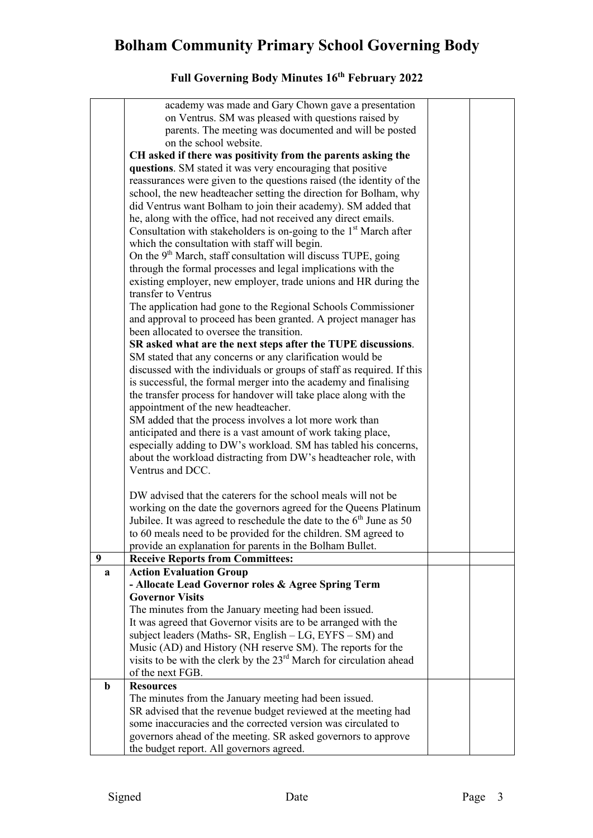|             | academy was made and Gary Chown gave a presentation                                                                             |  |
|-------------|---------------------------------------------------------------------------------------------------------------------------------|--|
|             | on Ventrus. SM was pleased with questions raised by                                                                             |  |
|             | parents. The meeting was documented and will be posted                                                                          |  |
|             | on the school website.                                                                                                          |  |
|             | CH asked if there was positivity from the parents asking the                                                                    |  |
|             | questions. SM stated it was very encouraging that positive                                                                      |  |
|             | reassurances were given to the questions raised (the identity of the                                                            |  |
|             | school, the new headteacher setting the direction for Bolham, why                                                               |  |
|             | did Ventrus want Bolham to join their academy). SM added that                                                                   |  |
|             | he, along with the office, had not received any direct emails.                                                                  |  |
|             | Consultation with stakeholders is on-going to the $1st$ March after                                                             |  |
|             | which the consultation with staff will begin.                                                                                   |  |
|             | On the 9 <sup>th</sup> March, staff consultation will discuss TUPE, going                                                       |  |
|             | through the formal processes and legal implications with the                                                                    |  |
|             | existing employer, new employer, trade unions and HR during the                                                                 |  |
|             | transfer to Ventrus                                                                                                             |  |
|             | The application had gone to the Regional Schools Commissioner                                                                   |  |
|             | and approval to proceed has been granted. A project manager has                                                                 |  |
|             | been allocated to oversee the transition.                                                                                       |  |
|             | SR asked what are the next steps after the TUPE discussions.                                                                    |  |
|             | SM stated that any concerns or any clarification would be                                                                       |  |
|             | discussed with the individuals or groups of staff as required. If this                                                          |  |
|             | is successful, the formal merger into the academy and finalising                                                                |  |
|             | the transfer process for handover will take place along with the                                                                |  |
|             | appointment of the new headteacher.                                                                                             |  |
|             | SM added that the process involves a lot more work than                                                                         |  |
|             | anticipated and there is a vast amount of work taking place,                                                                    |  |
|             | especially adding to DW's workload. SM has tabled his concerns,                                                                 |  |
|             | about the workload distracting from DW's headteacher role, with                                                                 |  |
|             | Ventrus and DCC.                                                                                                                |  |
|             | DW advised that the caterers for the school meals will not be                                                                   |  |
|             | working on the date the governors agreed for the Queens Platinum                                                                |  |
|             | Jubilee. It was agreed to reschedule the date to the $6th$ June as 50                                                           |  |
|             | to 60 meals need to be provided for the children. SM agreed to                                                                  |  |
|             | provide an explanation for parents in the Bolham Bullet.                                                                        |  |
| 9           | <b>Receive Reports from Committees:</b>                                                                                         |  |
| a           | <b>Action Evaluation Group</b>                                                                                                  |  |
|             | - Allocate Lead Governor roles & Agree Spring Term                                                                              |  |
|             | <b>Governor Visits</b>                                                                                                          |  |
|             | The minutes from the January meeting had been issued.                                                                           |  |
|             | It was agreed that Governor visits are to be arranged with the                                                                  |  |
|             | subject leaders (Maths- SR, English – LG, EYFS – SM) and                                                                        |  |
|             | Music (AD) and History (NH reserve SM). The reports for the                                                                     |  |
|             | visits to be with the clerk by the 23 <sup>rd</sup> March for circulation ahead                                                 |  |
|             | of the next FGB.                                                                                                                |  |
| $\mathbf b$ | <b>Resources</b>                                                                                                                |  |
|             | The minutes from the January meeting had been issued.                                                                           |  |
|             | SR advised that the revenue budget reviewed at the meeting had<br>some inaccuracies and the corrected version was circulated to |  |
|             |                                                                                                                                 |  |
|             | governors ahead of the meeting. SR asked governors to approve<br>the budget report. All governors agreed.                       |  |
|             |                                                                                                                                 |  |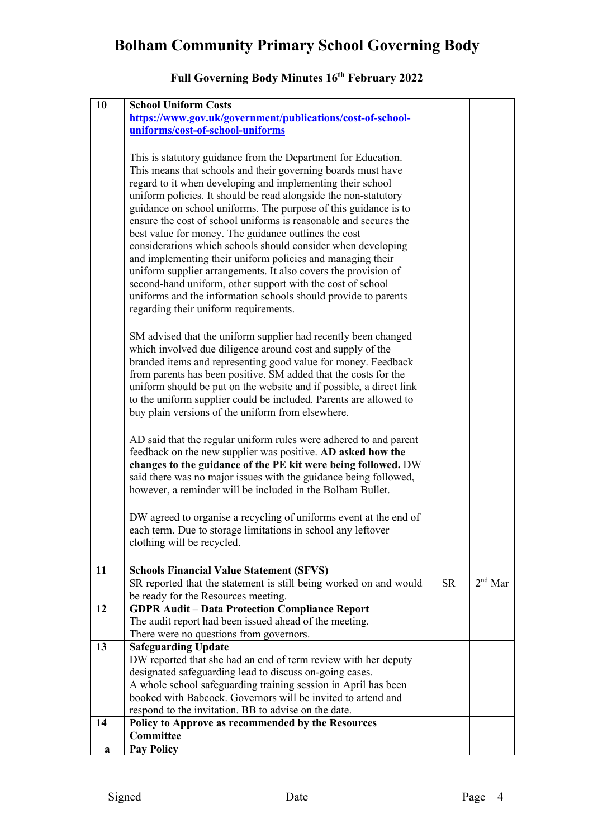| 10 | <b>School Uniform Costs</b>                                                                                                                                                                                                                                                                                                                                                                                                                                                                                                                                                                                                                                                                                                                                                                                                            |           |                  |
|----|----------------------------------------------------------------------------------------------------------------------------------------------------------------------------------------------------------------------------------------------------------------------------------------------------------------------------------------------------------------------------------------------------------------------------------------------------------------------------------------------------------------------------------------------------------------------------------------------------------------------------------------------------------------------------------------------------------------------------------------------------------------------------------------------------------------------------------------|-----------|------------------|
|    | https://www.gov.uk/government/publications/cost-of-school-                                                                                                                                                                                                                                                                                                                                                                                                                                                                                                                                                                                                                                                                                                                                                                             |           |                  |
|    | uniforms/cost-of-school-uniforms                                                                                                                                                                                                                                                                                                                                                                                                                                                                                                                                                                                                                                                                                                                                                                                                       |           |                  |
|    |                                                                                                                                                                                                                                                                                                                                                                                                                                                                                                                                                                                                                                                                                                                                                                                                                                        |           |                  |
|    | This is statutory guidance from the Department for Education.<br>This means that schools and their governing boards must have<br>regard to it when developing and implementing their school<br>uniform policies. It should be read alongside the non-statutory<br>guidance on school uniforms. The purpose of this guidance is to<br>ensure the cost of school uniforms is reasonable and secures the<br>best value for money. The guidance outlines the cost<br>considerations which schools should consider when developing<br>and implementing their uniform policies and managing their<br>uniform supplier arrangements. It also covers the provision of<br>second-hand uniform, other support with the cost of school<br>uniforms and the information schools should provide to parents<br>regarding their uniform requirements. |           |                  |
|    | SM advised that the uniform supplier had recently been changed<br>which involved due diligence around cost and supply of the<br>branded items and representing good value for money. Feedback<br>from parents has been positive. SM added that the costs for the<br>uniform should be put on the website and if possible, a direct link<br>to the uniform supplier could be included. Parents are allowed to<br>buy plain versions of the uniform from elsewhere.                                                                                                                                                                                                                                                                                                                                                                      |           |                  |
|    | AD said that the regular uniform rules were adhered to and parent<br>feedback on the new supplier was positive. AD asked how the<br>changes to the guidance of the PE kit were being followed. DW<br>said there was no major issues with the guidance being followed,<br>however, a reminder will be included in the Bolham Bullet.                                                                                                                                                                                                                                                                                                                                                                                                                                                                                                    |           |                  |
|    | DW agreed to organise a recycling of uniforms event at the end of<br>each term. Due to storage limitations in school any leftover<br>clothing will be recycled.                                                                                                                                                                                                                                                                                                                                                                                                                                                                                                                                                                                                                                                                        |           |                  |
| 11 | <b>Schools Financial Value Statement (SFVS)</b><br>SR reported that the statement is still being worked on and would<br>be ready for the Resources meeting.                                                                                                                                                                                                                                                                                                                                                                                                                                                                                                                                                                                                                                                                            | <b>SR</b> | $2^{\rm nd}$ Mar |
| 12 | <b>GDPR Audit - Data Protection Compliance Report</b>                                                                                                                                                                                                                                                                                                                                                                                                                                                                                                                                                                                                                                                                                                                                                                                  |           |                  |
|    | The audit report had been issued ahead of the meeting.                                                                                                                                                                                                                                                                                                                                                                                                                                                                                                                                                                                                                                                                                                                                                                                 |           |                  |
|    | There were no questions from governors.                                                                                                                                                                                                                                                                                                                                                                                                                                                                                                                                                                                                                                                                                                                                                                                                |           |                  |
| 13 | <b>Safeguarding Update</b>                                                                                                                                                                                                                                                                                                                                                                                                                                                                                                                                                                                                                                                                                                                                                                                                             |           |                  |
|    | DW reported that she had an end of term review with her deputy                                                                                                                                                                                                                                                                                                                                                                                                                                                                                                                                                                                                                                                                                                                                                                         |           |                  |
|    | designated safeguarding lead to discuss on-going cases.                                                                                                                                                                                                                                                                                                                                                                                                                                                                                                                                                                                                                                                                                                                                                                                |           |                  |
|    | A whole school safeguarding training session in April has been<br>booked with Babcock. Governors will be invited to attend and                                                                                                                                                                                                                                                                                                                                                                                                                                                                                                                                                                                                                                                                                                         |           |                  |
|    | respond to the invitation. BB to advise on the date.                                                                                                                                                                                                                                                                                                                                                                                                                                                                                                                                                                                                                                                                                                                                                                                   |           |                  |
| 14 | Policy to Approve as recommended by the Resources                                                                                                                                                                                                                                                                                                                                                                                                                                                                                                                                                                                                                                                                                                                                                                                      |           |                  |
|    | Committee                                                                                                                                                                                                                                                                                                                                                                                                                                                                                                                                                                                                                                                                                                                                                                                                                              |           |                  |
|    | <b>Pay Policy</b>                                                                                                                                                                                                                                                                                                                                                                                                                                                                                                                                                                                                                                                                                                                                                                                                                      |           |                  |
| a  |                                                                                                                                                                                                                                                                                                                                                                                                                                                                                                                                                                                                                                                                                                                                                                                                                                        |           |                  |